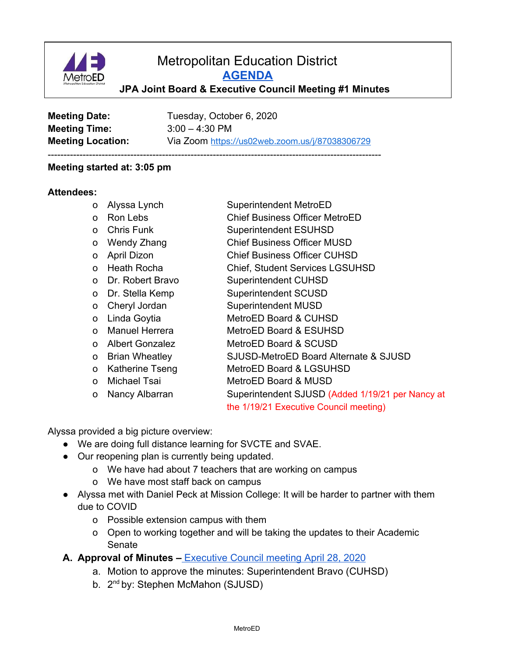

# Metropolitan Education District **[AGENDA](http://fbsd.metroed.net/dwelch/Executive%20Council/JPA%20Joint%20EC%20Meeting%2010-6-20.pdf)**

 **JPA Joint Board & Executive Council Meeting #1 Minutes**

| <b>Meeting Date:</b>     | Tuesday, October 6, 2020                       |
|--------------------------|------------------------------------------------|
| <b>Meeting Time:</b>     | $3:00 - 4:30$ PM                               |
| <b>Meeting Location:</b> | Via Zoom https://us02web.zoom.us/j/87038306729 |
|                          |                                                |

#### **Meeting started at: 3:05 pm**

#### **Attendees:**

| o            | Alyssa Lynch           | <b>Superintendent MetroED</b>                    |
|--------------|------------------------|--------------------------------------------------|
| <sup>o</sup> | Ron Lebs               | <b>Chief Business Officer MetroED</b>            |
| $\Omega$     | <b>Chris Funk</b>      | <b>Superintendent ESUHSD</b>                     |
| O            | <b>Wendy Zhang</b>     | <b>Chief Business Officer MUSD</b>               |
| O            | April Dizon            | <b>Chief Business Officer CUHSD</b>              |
| <sup>o</sup> | Heath Rocha            | <b>Chief, Student Services LGSUHSD</b>           |
| $\Omega$     | Dr. Robert Bravo       | <b>Superintendent CUHSD</b>                      |
| 0            | Dr. Stella Kemp        | <b>Superintendent SCUSD</b>                      |
| O            | Cheryl Jordan          | Superintendent MUSD                              |
| 0            | Linda Goytia           | MetroED Board & CUHSD                            |
| $\Omega$     | <b>Manuel Herrera</b>  | MetroED Board & ESUHSD                           |
| $\Omega$     | <b>Albert Gonzalez</b> | MetroED Board & SCUSD                            |
| O            | <b>Brian Wheatley</b>  | SJUSD-MetroED Board Alternate & SJUSD            |
| 0            | Katherine Tseng        | MetroED Board & LGSUHSD                          |
| $\Omega$     | Michael Tsai           | MetroED Board & MUSD                             |
| 0            | Nancy Albarran         | Superintendent SJUSD (Added 1/19/21 per Nancy at |
|              |                        | the 1/19/21 Executive Council meeting)           |
|              |                        |                                                  |

Alyssa provided a big picture overview:

- We are doing full distance learning for SVCTE and SVAE.
- Our reopening plan is currently being updated.
	- o We have had about 7 teachers that are working on campus
	- o We have most staff back on campus
- Alyssa met with Daniel Peck at Mission College: It will be harder to partner with them due to COVID
	- o Possible extension campus with them
	- o Open to working together and will be taking the updates to their Academic Senate
- **A. Approval of Minutes –** [Executive Council meeting April 28, 2020](http://fbsd.metroed.net/dwelch/Executive%20Council/JPA%20Minutes%204-28-20.pdf)
	- a. Motion to approve the minutes: Superintendent Bravo (CUHSD)
	- b. 2<sup>nd</sup> by: Stephen McMahon (SJUSD)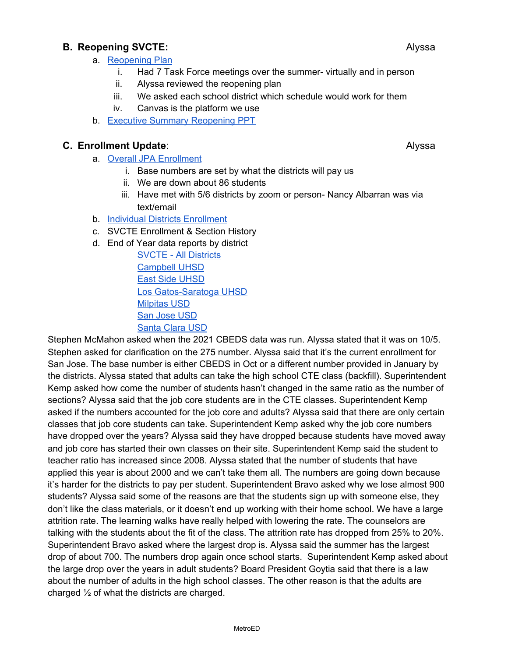## **B.** Reopening SVCTE: Alyssa

## a. [Reopening](https://f.hubspotusercontent20.net/hubfs/2436176/Draft%20MetroED%20Reopening%20Plan%208-3-%2020.pdf) Plan

- i. Had 7 Task Force meetings over the summer- virtually and in person
- ii. Alyssa reviewed the reopening plan
- iii. We asked each school district which schedule would work for them
- iv. Canvas is the platform we use
- b. Executive Summary [Reopening](http://fbsd.metroed.net/dwelch/COVID-19%20/Reopening%20of%20Schools%20for%202020-2021%20(2).pdf) PPT

## **C. Enrollment Update**: Alyssa

- a. Overall JPA [Enrollment](http://fbsd.metroed.net/dwelch/Executive%20Council/Overall%20JPA%20Enrollment.pdf)
	- i. Base numbers are set by what the districts will pay us
	- ii. We are down about 86 students
	- iii. Have met with 5/6 districts by zoom or person- Nancy Albarran was via text/email
- b. Individual Districts [Enrollment](http://fbsd.metroed.net/dwelch/Executive%20Council/Individual%20District%20Data.pdf)
- c. SVCTE Enrollment & Section History
- d. End of Year data reports by district

SVCTE - All [Districts](http://fbsd.metroed.net/dwelch/Executive%20Council/SVCTE%20Enrollment.pdf) [Campbell](http://fbsd.metroed.net/dwelch/Executive%20Council/Campbell%20Enrollment.pdf) UHSD East Side [UHSD](http://fbsd.metroed.net/dwelch/Executive%20Council/East%20Side%20Enrollment.pdf) Los [Gatos-Saratoga](http://fbsd.metroed.net/dwelch/Executive%20Council/Los%20Gatos%20Enrollment.pdf) UHSD [Milpitas](http://fbsd.metroed.net/dwelch/Executive%20Council/Milpitas%20Enrollment.pdf) USD San [Jose](http://fbsd.metroed.net/dwelch/Executive%20Council/San%20Jose%20Enrollment.pdf) USD [Santa](http://fbsd.metroed.net/dwelch/Executive%20Council/Santa%20Clara%20Enrollment.pdf) Clara USD

Stephen McMahon asked when the 2021 CBEDS data was run. Alyssa stated that it was on 10/5. Stephen asked for clarification on the 275 number. Alyssa said that it's the current enrollment for San Jose. The base number is either CBEDS in Oct or a different number provided in January by the districts. Alyssa stated that adults can take the high school CTE class (backfill). Superintendent Kemp asked how come the number of students hasn't changed in the same ratio as the number of sections? Alyssa said that the job core students are in the CTE classes. Superintendent Kemp asked if the numbers accounted for the job core and adults? Alyssa said that there are only certain classes that job core students can take. Superintendent Kemp asked why the job core numbers have dropped over the years? Alyssa said they have dropped because students have moved away and job core has started their own classes on their site. Superintendent Kemp said the student to teacher ratio has increased since 2008. Alyssa stated that the number of students that have applied this year is about 2000 and we can't take them all. The numbers are going down because it's harder for the districts to pay per student. Superintendent Bravo asked why we lose almost 900 students? Alyssa said some of the reasons are that the students sign up with someone else, they don't like the class materials, or it doesn't end up working with their home school. We have a large attrition rate. The learning walks have really helped with lowering the rate. The counselors are talking with the students about the fit of the class. The attrition rate has dropped from 25% to 20%. Superintendent Bravo asked where the largest drop is. Alyssa said the summer has the largest drop of about 700. The numbers drop again once school starts. Superintendent Kemp asked about the large drop over the years in adult students? Board President Goytia said that there is a law about the number of adults in the high school classes. The other reason is that the adults are charged ½ of what the districts are charged.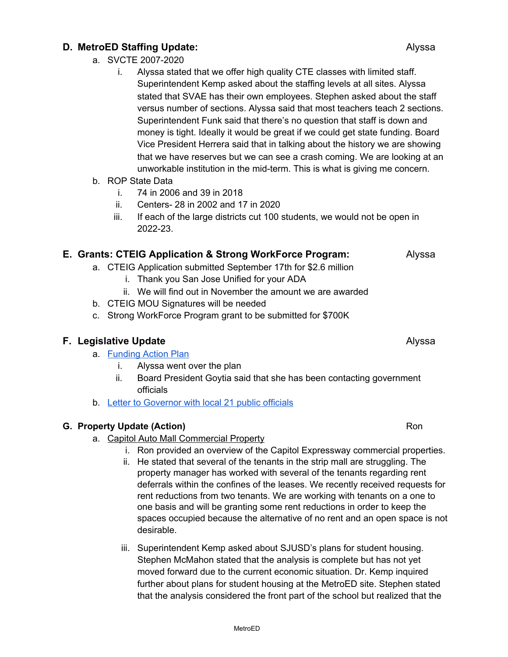# **D.** MetroED Staffing Update: Alyssa

- a. SVCTE 2007-2020
	- i. Alyssa stated that we offer high quality CTE classes with limited staff. Superintendent Kemp asked about the staffing levels at all sites. Alyssa stated that SVAE has their own employees. Stephen asked about the staff versus number of sections. Alyssa said that most teachers teach 2 sections. Superintendent Funk said that there's no question that staff is down and money is tight. Ideally it would be great if we could get state funding. Board Vice President Herrera said that in talking about the history we are showing that we have reserves but we can see a crash coming. We are looking at an unworkable institution in the mid-term. This is what is giving me concern.
- b. ROP State Data
	- i. 74 in 2006 and 39 in 2018
	- ii. Centers- 28 in 2002 and 17 in 2020
	- iii. If each of the large districts cut 100 students, we would not be open in 2022-23.

# **E. Grants: CTEIG Application & Strong WorkForce Program:** Alyssa

- a. CTEIG Application submitted September 17th for \$2.6 million
	- i. Thank you San Jose Unified for your ADA
	- ii. We will find out in November the amount we are awarded
- b. CTEIG MOU Signatures will be needed
- c. Strong WorkForce Program grant to be submitted for \$700K

# **F.** Legislative Update **Alyssa**

- a. [Funding](http://fbsd.metroed.net/dwelch/Executive%20Council/Legislative%20Action%20Plan%20(2).pdf) Action Plan
	- i. Alyssa went over the plan
	- ii. Board President Goytia said that she has been contacting government officials
- b. Letter to [Governor](http://fbsd.metroed.net/dwelch/Executive%20Council/MetroED%20Governor%20Request%20%20(1).pdf) with local 21 public officials

# **G. Property Update (Action)** Ron

- a. Capitol Auto Mall [Commercial](http://fbsd.metroed.net/dwelch/Executive%20Council/a.%20JPA%20Executive%20Council%209-29-20%20Property%20Update%20(2)%20(1).pdf) Property
	- i. Ron provided an overview of the Capitol Expressway commercial properties.
	- ii. He stated that several of the tenants in the strip mall are struggling. The property manager has worked with several of the tenants regarding rent deferrals within the confines of the leases. We recently received requests for rent reductions from two tenants. We are working with tenants on a one to one basis and will be granting some rent reductions in order to keep the spaces occupied because the alternative of no rent and an open space is not desirable.
	- iii. Superintendent Kemp asked about SJUSD's plans for student housing. Stephen McMahon stated that the analysis is complete but has not yet moved forward due to the current economic situation. Dr. Kemp inquired further about plans for student housing at the MetroED site. Stephen stated that the analysis considered the front part of the school but realized that the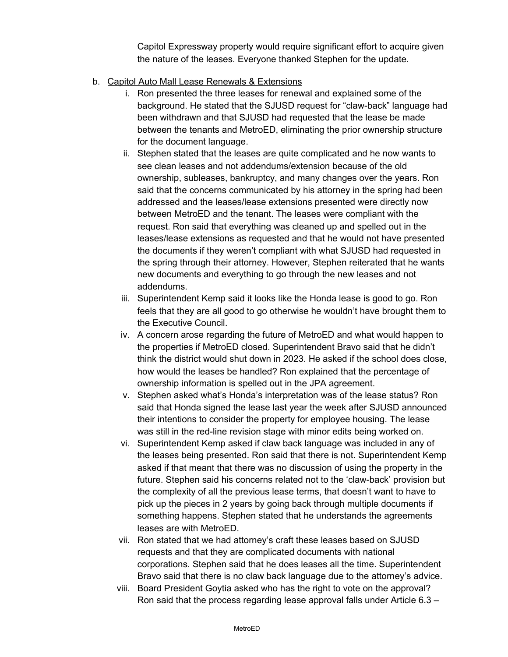Capitol Expressway property would require significant effort to acquire given the nature of the leases. Everyone thanked Stephen for the update.

- b. Capitol Auto Mall Lease Renewals & [Extensions](http://fbsd.metroed.net/dwelch/Executive%20Council/b.%20JPA%20Executive%20Council%209-29-20%20Lease%20Renewals%20(3)%20(1).pdf)
	- i. Ron presented the three leases for renewal and explained some of the background. He stated that the SJUSD request for "claw-back" language had been withdrawn and that SJUSD had requested that the lease be made between the tenants and MetroED, eliminating the prior ownership structure for the document language.
	- ii. Stephen stated that the leases are quite complicated and he now wants to see clean leases and not addendums/extension because of the old ownership, subleases, bankruptcy, and many changes over the years. Ron said that the concerns communicated by his attorney in the spring had been addressed and the leases/lease extensions presented were directly now between MetroED and the tenant. The leases were compliant with the request. Ron said that everything was cleaned up and spelled out in the leases/lease extensions as requested and that he would not have presented the documents if they weren't compliant with what SJUSD had requested in the spring through their attorney. However, Stephen reiterated that he wants new documents and everything to go through the new leases and not addendums.
	- iii. Superintendent Kemp said it looks like the Honda lease is good to go. Ron feels that they are all good to go otherwise he wouldn't have brought them to the Executive Council.
	- iv. A concern arose regarding the future of MetroED and what would happen to the properties if MetroED closed. Superintendent Bravo said that he didn't think the district would shut down in 2023. He asked if the school does close, how would the leases be handled? Ron explained that the percentage of ownership information is spelled out in the JPA agreement.
	- v. Stephen asked what's Honda's interpretation was of the lease status? Ron said that Honda signed the lease last year the week after SJUSD announced their intentions to consider the property for employee housing. The lease was still in the red-line revision stage with minor edits being worked on.
	- vi. Superintendent Kemp asked if claw back language was included in any of the leases being presented. Ron said that there is not. Superintendent Kemp asked if that meant that there was no discussion of using the property in the future. Stephen said his concerns related not to the 'claw-back' provision but the complexity of all the previous lease terms, that doesn't want to have to pick up the pieces in 2 years by going back through multiple documents if something happens. Stephen stated that he understands the agreements leases are with MetroED.
	- vii. Ron stated that we had attorney's craft these leases based on SJUSD requests and that they are complicated documents with national corporations. Stephen said that he does leases all the time. Superintendent Bravo said that there is no claw back language due to the attorney's advice.
	- viii. Board President Goytia asked who has the right to vote on the approval? Ron said that the process regarding lease approval falls under Article 6.3 –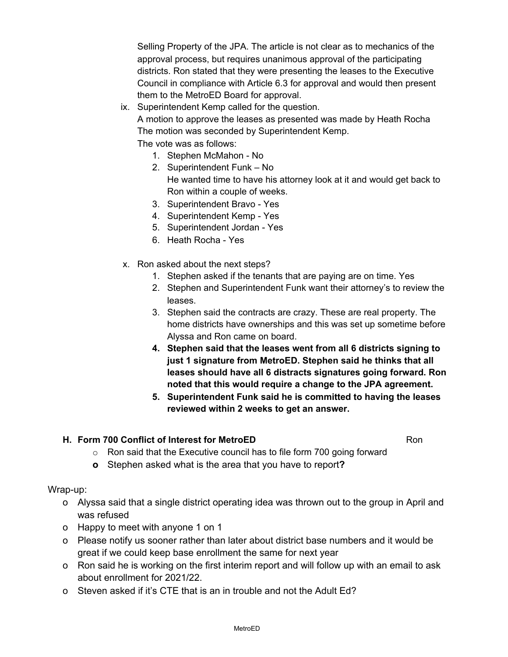Selling Property of the JPA. The article is not clear as to mechanics of the approval process, but requires unanimous approval of the participating districts. Ron stated that they were presenting the leases to the Executive Council in compliance with Article 6.3 for approval and would then present them to the MetroED Board for approval.

ix. Superintendent Kemp called for the question.

A motion to approve the leases as presented was made by Heath Rocha The motion was seconded by Superintendent Kemp.

The vote was as follows:

- 1. Stephen McMahon No
- 2. Superintendent Funk No He wanted time to have his attorney look at it and would get back to Ron within a couple of weeks.
- 3. Superintendent Bravo Yes
- 4. Superintendent Kemp Yes
- 5. Superintendent Jordan Yes
- 6. Heath Rocha Yes
- x. Ron asked about the next steps?
	- 1. Stephen asked if the tenants that are paying are on time. Yes
	- 2. Stephen and Superintendent Funk want their attorney's to review the leases.
	- 3. Stephen said the contracts are crazy. These are real property. The home districts have ownerships and this was set up sometime before Alyssa and Ron came on board.
	- **4. Stephen said that the leases went from all 6 districts signing to just 1 signature from MetroED. Stephen said he thinks that all leases should have all 6 distracts signatures going forward. Ron noted that this would require a change to the JPA agreement.**
	- **5. Superintendent Funk said he is committed to having the leases reviewed within 2 weeks to get an answer.**

## **H. Form 700 Conflict of Interest for MetroED** Ron

- o Ron said that the Executive council has to file form 700 going forward
- **o** Stephen asked what is the area that you have to report**?**

## Wrap-up:

- o Alyssa said that a single district operating idea was thrown out to the group in April and was refused
- o Happy to meet with anyone 1 on 1
- o Please notify us sooner rather than later about district base numbers and it would be great if we could keep base enrollment the same for next year
- o Ron said he is working on the first interim report and will follow up with an email to ask about enrollment for 2021/22.
- o Steven asked if it's CTE that is an in trouble and not the Adult Ed?